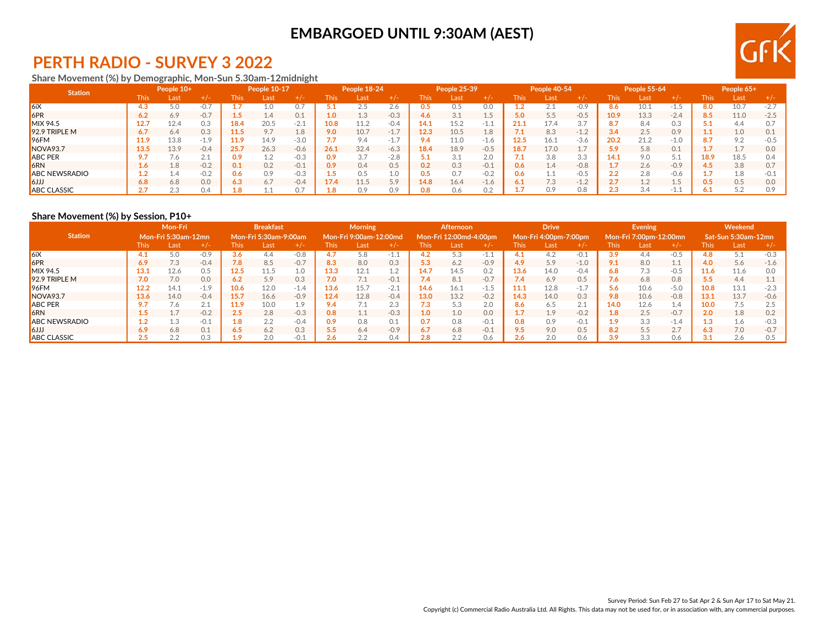

## **PERTH RADIO - SURVEY 3 2022**

#### **Share Movement (%) by Demographic, Mon-Sun 5.30am-12midnight**

| <b>Station</b>       |             | People 10+ |                            |      | People 10-17 |        |      | People 18-24   |        |                  | People 25-39 |        |             | People 40-54 |                            |      | <b>People 55-64</b> |        |       | People 65+      |        |
|----------------------|-------------|------------|----------------------------|------|--------------|--------|------|----------------|--------|------------------|--------------|--------|-------------|--------------|----------------------------|------|---------------------|--------|-------|-----------------|--------|
|                      | <b>This</b> | Last       | $+/-$                      | This | Last         | $+/-$  | This | Last           | $+/-$  | This             | Last         | $+/-$  | <b>This</b> | Last         | $+/-$                      | This | Last                | $+/-$  | l his | <b>Last</b>     | + / -  |
| $\mathsf{K}$         | 4.3         | 5.0        |                            |      |              | 0.     |      |                | 2.6    | U.5              | 0.5          | 0.0    |             | Z.I          | $-0.9$                     | 8.6  |                     | $-1.5$ | 8.0   | 10.7            | $-2.7$ |
| 6PR                  | 6.2         | 6.9        | $-0.7$                     |      | 4.4          | 0.1    |      | 1.3            | $-0.3$ | 4.6              | 3.1          | c.i    | 5.0         | 5.5          | $-0.5$                     | 10.9 | 13.3                | $-2.4$ | 8.5   | 11.0            | $-2.5$ |
| MIX 94.5             | 12.7        | 12.4       | 0.3                        | 18.4 | 20.5         | $-2.1$ | 10.8 | 11.2           | $-0.4$ | 14.1             | 15.2         | $-1.1$ | 21.1        | 17.4         | 3.                         | 8.7  |                     | 0.3    |       | 4.4             |        |
| $92.9$ TRIPLE M      | 6.7         | 6.4        | 0.3                        | 11.5 | 9.7          | 1.8    | 9.0  | 10.7           | $-1.7$ | 12.3             | 10.5         | 1.8    | 7.1         | 8.3          | $-1.2$                     | 3.4  | 2.5                 | 0.9    |       | 1.0             | N 1    |
| $96$ FM              | 11.9        | 13.8       | $-1.9$                     | 11.9 | 14.9         | $-3.0$ |      | 9.4            | $-1.7$ | 9.4              | 11.0         | -1.6   | 12.5        | 16.1         | $-3.6$                     | 20.2 | 21.2                | $-1.0$ |       | 9.2             |        |
| NOVA <sub>93.7</sub> | 13.5        | 13.9       | $-0.4$                     | 25.7 | 26.3         | $-0.6$ | 26.1 | 32.4           | $-6.3$ | 18.4             | 18.9         | $-0.5$ | 18.7        | 17.0         | <b>.</b>                   | 5.9  | 5.8                 | 0.1    |       | 17<br><b>1.</b> | 0.0    |
| <b>ABC PER</b>       | $\bullet$   | 7.6        | $\bigcap$ $\bigcap$<br>4.1 | 0.9  |              | $-0.3$ | 0.9  | 37             | $-2.8$ |                  | 3.1          | 2.0    | 7.1         | 3.8          | 3.3                        | 14.1 | 9.0                 | 5.1    | 18.9  | 18.5            |        |
| <b>6RN</b>           | $4.6 -$     | 1.8        | $-0.2$                     | 0.1  | 0.2          | $-0.1$ | 0.9  | 0.4            | 0.5    | 0.2              | 0.3          | $-0.1$ | 0.6         | 1.4          | $-0.8$                     |      | 2.6                 | $-0.9$ |       | 3.8             | 07     |
| <b>ABC NEWSRADIO</b> |             | 1.4        | $-0.2$                     | 0.6  | 0.9          | $-0.3$ |      | 0.5            | 1.0    | 0.5 <sub>2</sub> | 0.7          | $-0.2$ | 0.6         |              | -0.5                       |      | 2.8                 | $-0.6$ |       | 1.8             |        |
| l GJJJ               | 6.8         | 6.8        | 0.0                        | 6.3  | 6.7          | $-0.4$ | 17.4 | 11.5           | 5.9    | 14.8             | 16.4         | $-1.6$ | 6.1         | 7.3          | $-12$<br>$\perp$ . $\perp$ |      |                     | 1.5    |       | 0.5             | 0.0    |
| <b>ABC CLASSIC</b>   | ٬.          | 2.3        | 0.4                        |      |              |        |      | $\cap$ $\circ$ | 0.9    | 0.8              | 0.6          | 0.2    |             | 0.9          | 0.8                        |      |                     | -1.1   |       | 5つ<br>J.Z       | n o    |

## **Share Movement (%) by Session, P10+**

|                      |         | Mon-Fri             |        |             | <b>Breakfast</b>      |        |       | <b>Morning</b>         |        |      | Afternoon              |        |      | <b>Drive</b>          |           |      | <b>Evening</b>         |                |      | Weekend                    |        |
|----------------------|---------|---------------------|--------|-------------|-----------------------|--------|-------|------------------------|--------|------|------------------------|--------|------|-----------------------|-----------|------|------------------------|----------------|------|----------------------------|--------|
| <b>Station</b>       |         | Mon-Fri 5:30am-12mn |        |             | Mon-Fri 5:30am-9:00am |        |       | Mon-Fri 9:00am-12:00md |        |      | Mon-Fri 12:00md-4:00pm |        |      | Mon-Fri 4:00pm-7:00pm |           |      | Mon-Fri 7:00pm-12:00mn |                |      | <b>Sat-Sun 5:30am-12mn</b> |        |
|                      | This:   | Last                | $+/-$  | <b>This</b> | Last                  | $+/-$  | This. | Last                   | +/-    | This | Last                   | $+/-$  | This | Last                  | $+$ / $-$ | This | Last                   | $+/-$          | This | Last                       | $+/-$  |
| 6iX                  | 4.1     | 5.0                 | $-0.9$ | 3.6         | 4.4                   | $-0.8$ |       | 5.8                    | $-1.1$ | 4.2  | 5.3                    | $-1.1$ | 4.1  | 4.2                   | -0.1      | 3.9  | 4.4                    | $-0.5$         | 4.8  | 5.1                        | $-0.3$ |
| 6PR                  | 6.9     | 7.3                 | $-0.4$ | 7.8         | 8.5                   | $-0.7$ | 8.3   | 8.0                    | 0.3    | 5.3  | 6.2                    | $-0.9$ | 4.9  | 5.9                   | $-1.0$    | 9.1  | 8.0                    | $A$ $A$<br>1.1 | 4.0  | 5.6                        | $-1.6$ |
| MIX 94.5             | 13.1    | 12.6                | 0.5    | 12.5        | 11.5                  | 1.0    | 13.3  | 12.1                   | 1.2    | 14.7 | 14.5                   | 0.2    | 13.6 | 14.0                  | $-0.4$    | 6.8  |                        | $-0.5$         | 11.6 | 11.6                       | 0.0    |
| 92.9 TRIPLE M        | 7.0     | 7.0                 | 0.0    | 6.2         | 5.9                   | 0.3    | 7.0   |                        | $-0.1$ | 7.4  | 8.1                    | $-0.7$ | 7.4  | 6.9                   | 0.5       | 7.6  | 6.8                    | 0.8            | 5.5  | 4.4                        |        |
| 96FM                 | 12.2    | 14.1                | $-1.9$ | 10.6        | 12.0                  | $-1.4$ | 13.6  | 15.7                   | $-2.1$ | 14.6 | 16.1                   | $-1.5$ | 11.1 | 12.8                  | $-1.7$    | 5.6  | 10.6                   | $-5.0$         | 10.8 | 13.1                       | $-2.3$ |
| NOVA <sub>93.7</sub> | 13.6    | 14.0                | $-0.4$ | 15.7        | 16.6                  | $-0.9$ | 12.4  | 12.8                   | $-0.4$ | 13.0 | 13.2                   | $-0.2$ | 14.3 | 14.0                  | 0.3       | 9.8  | 10.6                   | $-0.8$         | 13.1 | 13.7                       | $-0.6$ |
| <b>ABC PER</b>       |         | 7.6                 | 2.1    | 11.9        | 10.0                  | 10     | 9.4   |                        | 2.3    |      | 5.3                    | 2.0    | 8.6  | 6.5                   | 2.1       | 14.0 | 12.6                   | 1.4            | 10.0 | 7.5                        | 2.5    |
| <b>6RN</b>           | $1.5\,$ |                     | $-0.2$ | 2.5         | 2.8                   | $-0.3$ | 0.8   | 1.1                    | $-0.3$ | 1.0  | 1.0                    | 0.0    | 1.7  | 1.9                   | $-0.2$    | 1.8  | 2.5                    | $-0.7$         | 2.0  | 1.8                        | 0.2    |
| <b>ABC NEWSRADIO</b> | 1.2     | 1.3                 | $-0.1$ | 1.8         | 2.2                   | $-0.4$ | 0.9   | 8.O                    | 0.1    | 0.7  | 0.8                    | $-0.1$ | 0.8  | 0.9                   | $-0.1$    | 1.9  | 3.3                    | $-1.4$         | 1.3  | 1.6                        | $-0.3$ |
| lkJJJ                | 6.9     | 6.8                 | 0.1    | 6.5         | 6.2                   | 0.3    | 5.5   | 6.4                    | $-0.9$ | 6.7  | 6.8                    | $-0.1$ | 9.5  | 9.0                   | 0.5       | 8.2  | 5.5                    | 2.7            | 6.3  | 7.0                        | $-0.7$ |
| <b>ABC CLASSIC</b>   | n E     | 2.2                 | 0.3    | 1.9         | 2.0                   | $-0.1$ | 2.6   |                        | 0.4    | 2.8  | 2.2                    | 0.6    | 2.6  | 2.0                   | 0.6       | 3.9  | 3.3                    | 0.6            |      | 2.6                        | 0.5    |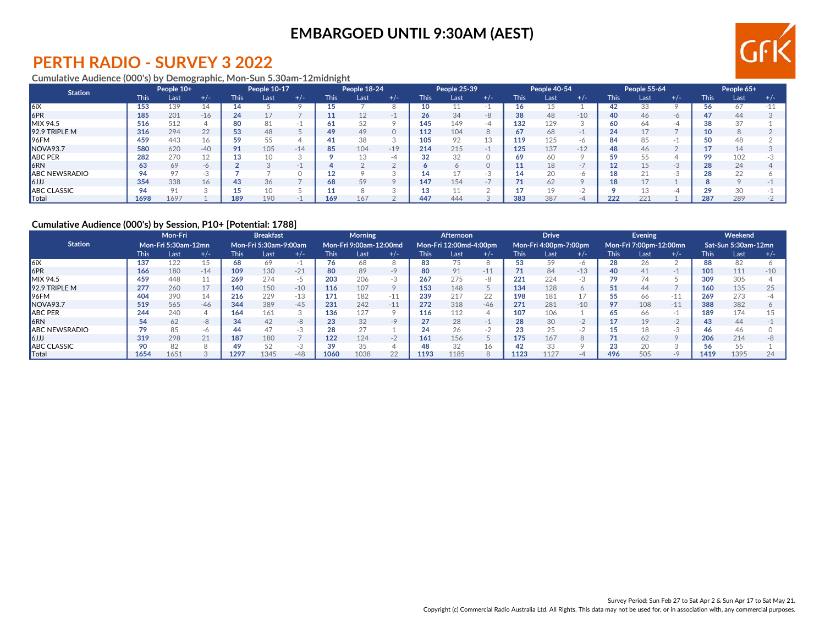

## **PERTH RADIO - SURVEY 3 2022**

#### **Cumulative Audience (000's) by Demographic, Mon-Sun 5.30am-12midnight**

| <b>Station</b>       |             | People 10+ |                 |             | People 10-17 |       |      | People 18-24 |       |        | People 25-39 |                |             | People 40-54 |                          |             | People 55-64 |           |             | People 65+ |     |
|----------------------|-------------|------------|-----------------|-------------|--------------|-------|------|--------------|-------|--------|--------------|----------------|-------------|--------------|--------------------------|-------------|--------------|-----------|-------------|------------|-----|
|                      | <b>This</b> | Last       | $+/-$           | <b>This</b> | Last         | $+/-$ | This | Last         | $+/-$ | This l | Last         | $+/-$          | <b>This</b> | Last         | $+/-$                    | <b>This</b> | Last         | $+/-$     | <b>This</b> | Last       | +7- |
| 6iX                  | 153         | 139        | $\overline{14}$ |             |              |       |      |              |       | 10     |              |                | 16          |              |                          | 42          |              |           |             | 67         | -15 |
| 6PR                  | 185         | 201        | $-16$           | 24          | 17           |       |      |              |       | 26     | 34           | $\Omega$<br>-8 | 38          | 48           | $-10$                    | 40          | 46           | $-6$      |             | 44         |     |
| MIX 94.5             | 516         | 512        |                 | 80          | 81           |       |      | につ           |       | 145    | 149          | -4             | 132         | 129          |                          |             |              |           |             | 37         |     |
| $92.9$ TRIPLE M      | 316         | 294        | 22              | 53          | 48           |       | 49   | 49           |       | 112    | 104          | ŏ              | 67          | 68           | $\overline{\phantom{a}}$ | 24          |              |           | 10          |            |     |
| $ 96$ FM             | 459         | 443        | 16              | 59          | 55           |       |      | 38           |       | 105    | 92           | 13             | 119         | 125          | -6                       |             |              |           |             | 48         |     |
| NOVA93.7             | 580         | 620        | $-40$           | 91          | 105          | $-14$ | 85   | 104          | $-19$ | 214    | 215          | $-1$           | 125         | 137          | $-12$                    | 48          | 46           |           |             |            |     |
| <b>ABC PER</b>       | 282         | 270        |                 | 13          | 10           |       |      |              | -4    | 32     | 32           |                | 69          | 60           |                          |             |              |           |             | 102        |     |
| <b>6RN</b>           | 63          | 69         | $-\theta$       |             |              |       |      |              |       |        |              |                |             | 18           | $-1$                     |             |              | $\bigcap$ |             | 24         |     |
| <b>ABC NEWSRADIO</b> | 94          | 97         |                 |             |              |       |      |              |       |        |              |                | 14          | 20           | -r                       |             |              |           |             | 22         |     |
| $ 6$ الرا            | 354         | 338        | 16              | 43          | 36           |       |      | 59           |       | 147    | 154          |                | 71          | 62           |                          | 18          |              |           |             |            |     |
| <b>ABC CLASSIC</b>   | 94          | 91         |                 | 15          | 10           |       |      |              |       |        |              |                | 17          | 19           | н.                       |             |              |           |             | 30         |     |
| Total                | 1698        | 1697       |                 | 189         | 190          |       | 169  | 67           |       | 447    | 444          |                | 383         | 387          | $-L$                     | 222         | 221          |           | 287         | 289        |     |

## **Cumulative Audience (000's) by Session, P10+ [Potential: 1788]**

|                       |       | Mon-Fri             |       |             | <b>Breakfast</b>      |       |             | <b>Morning</b>         |         |      | Afternoon              |       |             | <b>Drive</b>          |                          |      | Evening                |         |       | Weekend             |       |
|-----------------------|-------|---------------------|-------|-------------|-----------------------|-------|-------------|------------------------|---------|------|------------------------|-------|-------------|-----------------------|--------------------------|------|------------------------|---------|-------|---------------------|-------|
| <b>Station</b>        |       | Mon-Fri 5:30am-12mn |       |             | Mon-Fri 5:30am-9:00am |       |             | Mon-Fri 9:00am-12:00md |         |      | Mon-Fri 12:00md-4:00pm |       |             | Mon-Fri 4:00pm-7:00pm |                          |      | Mon-Fri 7:00pm-12:00mn |         |       | Sat-Sun 5:30am-12mn |       |
|                       | This. | Last                | $+/-$ | <b>This</b> | Last                  | $+/-$ | <b>This</b> | Last                   | $+/-$   | This | Last                   | $+/-$ | <b>This</b> | Last                  | $+/-$                    | This | Last                   | $+/-$   | This. | Last                | $+/-$ |
| 6iX                   | 137   | 122                 |       | 68          | 69                    |       | 76          | 68                     |         | 83   | 75                     |       | 53          | 59                    |                          | 28   |                        |         | 88    | 82                  |       |
| 6PR                   | 166   | 180                 | $-14$ | 109         | 130                   | $-21$ | 80          | 89                     | $-9$    | 80   | 91                     | $-11$ | 71          | 84                    | $-13$                    | 40   |                        |         | 101   | 111                 | $-10$ |
| MIX 94.5              | 459   | 448                 |       | 269         | 274                   | -5    | 203         | 206                    | $-3$    | 267  | 275                    | -8    | 221         | 224                   | $-.5$                    | 79   |                        |         | 309   | 305                 |       |
| 92.9 TRIPLE M         | 277   | 260                 | 17    | 140         | 150                   | $-10$ | 116         | 107                    | $\circ$ | 153  | 148                    |       | 134         | 128                   |                          | 51   | 44                     |         | 160   | 135                 | 25    |
| 196FM                 | 404   | 390                 | 14    | 216         | 229                   | $-13$ | 171         | 182                    | $-11$   | 239  | 217                    | 22    | 198         | 181                   |                          |      |                        | $-11$   | 269   | 273                 |       |
| NOVA <sub>93.7</sub>  | 519   | 565                 | $-46$ | 344         | 389                   | $-45$ | 231         | 242                    | $-11$   | 272  | 318                    | $-46$ | 271         | 281                   | $-10$                    | 97   | 108                    | $-11$   | 388   | 382                 |       |
| <b>ABC PER</b>        | 244   | 240                 |       | 164         | 161                   |       | 136         |                        |         | 116  | 112                    |       | 107         | 106                   |                          |      |                        |         | 189   | 174                 |       |
| 6RN                   | 54    | 62                  | -8    | 34          | 42                    | $-R$  | 23          | 32                     | $-9$    |      | 28                     |       | 28          | 30                    | $-$                      |      | 19                     | $-2$    | 43    | 44                  |       |
| <b>JABC NEWSRADIO</b> |       | 85                  | -6    | 44          | 47                    |       | 28          |                        |         |      | 26                     |       | 23          | 25                    | $\overline{\phantom{0}}$ |      |                        | $-3$    | 46    | 46                  |       |
| ا (ازاع               | 319   | 298                 | 21    | 187         | 180                   |       | 122         | 124                    | $-2$    | 161  | 156                    |       | 175         | 167                   |                          |      |                        | $\circ$ | 206   | 214                 |       |
| <b>ABC CLASSIC</b>    | 90    | 82                  |       | 49          | 52                    |       | 39          |                        |         |      | 32                     |       | 42          | 33                    |                          |      |                        |         |       | 55                  |       |
| Total                 | 1654  | 1651                |       | 1297        | 1345                  | $-48$ | 1060        | 1038                   | 22      | 1193 | 1185                   |       | 1123        | 1127                  |                          | 496  | 505                    | $-9$    | 1419  | 1395                | 24    |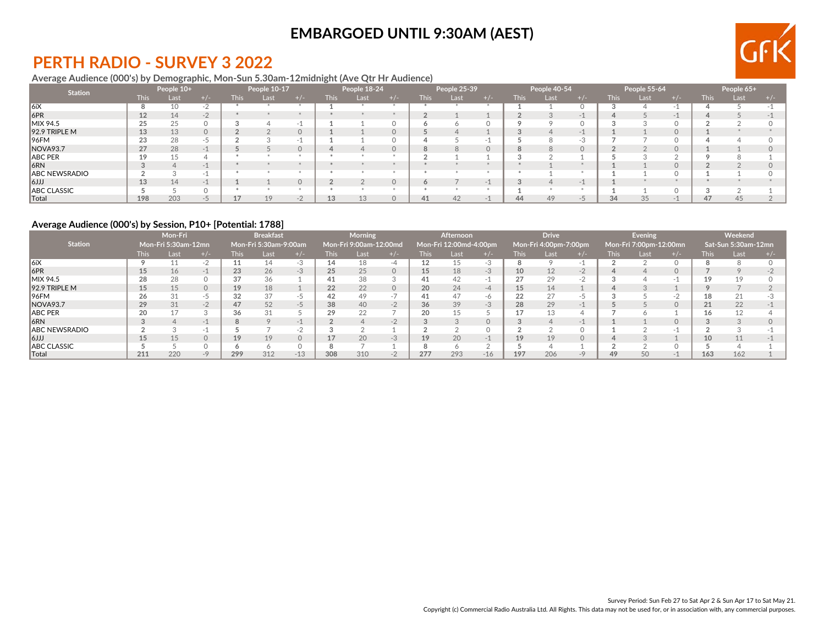

## **PERTH RADIO - SURVEY 3 2022**

## **Average Audience (000's) by Demographic, Mon-Sun 5.30am-12midnight (Ave Qtr Hr Audience)**

| <b>Station</b>                                 |             | People 10+ |          |             | People 10-17 |           |             | People 18-24 |       |      | People 25-39 |          |             | People 40-54 |          |             | People 55-64 |       |             | People 65+ |       |
|------------------------------------------------|-------------|------------|----------|-------------|--------------|-----------|-------------|--------------|-------|------|--------------|----------|-------------|--------------|----------|-------------|--------------|-------|-------------|------------|-------|
|                                                | <b>This</b> | Last       | + / -    | <b>This</b> | Last         | $+$ / $-$ | <b>This</b> | Lasi         | + / - | This | Last         | $+/-$    | <b>This</b> | Last         | $+/-$    | <b>This</b> | Last         | $+/-$ | <b>This</b> | Last       | + / - |
| $\parallel$ 6iX                                | 8           | 10         | $-2$     |             |              |           |             |              |       |      |              |          |             |              |          |             |              |       |             |            |       |
| 6PR                                            | 12          | 14         | $-2$     |             |              |           |             |              |       |      |              |          |             |              |          |             |              |       |             |            |       |
| MIX 94.5                                       | 25          | 25         |          |             |              |           |             |              |       |      |              |          |             |              |          |             |              |       |             |            |       |
| $92.9$ TRIPLE M                                | 13          | 13         | $\Omega$ |             |              |           |             |              |       |      |              |          |             |              | $-1$     |             |              |       |             |            |       |
| 96FM                                           | 23          | 28         | -5       |             |              | $\sim$    |             |              |       |      |              |          |             |              | н. 1     |             |              |       |             |            |       |
| NOVA93.7                                       | 27          | 28         |          |             |              |           |             |              |       |      |              | $\Omega$ |             |              | $\Omega$ |             |              |       |             |            |       |
| ABC PER                                        | 10          | 15         |          |             |              |           |             |              |       |      |              |          |             |              |          |             |              |       |             |            |       |
| 6RN                                            |             |            |          |             |              |           |             |              |       |      |              |          |             |              |          |             |              |       |             |            |       |
| ABC NEWSRADIO                                  |             |            |          |             |              |           |             |              |       |      |              |          |             |              |          |             |              |       |             |            |       |
| $\mathsf{I}(\mathsf{I}(\mathsf{I})\mathsf{I})$ | 13          | 14         |          |             |              |           |             |              |       |      |              |          |             |              | $-1$     |             |              |       |             |            |       |
| ABC CLASSIC                                    |             |            |          |             |              |           |             |              |       |      |              |          |             |              |          |             |              |       |             |            |       |
| Total                                          | 198         | 203        | $-7$     |             |              |           | 13          |              |       | 41   | 42           |          | 44          | 49           | $-7$     | 34          | 35           |       | 47          | 45         |       |

## **Average Audience (000's) by Session, P10+ [Potential: 1788]**

|                                                |      | Mon-Fri<br>Mon-Fri 5:30am-12mn |          |      | <b>Breakfast</b>      |       |             | <b>Morning</b>         |         |      | <b>Afternoon</b>       |           |      | <b>Drive</b>          |          |             | <b>Evening</b>         |    |      | Weekend             |  |
|------------------------------------------------|------|--------------------------------|----------|------|-----------------------|-------|-------------|------------------------|---------|------|------------------------|-----------|------|-----------------------|----------|-------------|------------------------|----|------|---------------------|--|
| <b>Station</b>                                 |      |                                |          |      | Mon-Fri 5:30am-9:00am |       |             | Mon-Fri 9:00am-12:00md |         |      | Mon-Fri 12:00md-4:00pm |           |      | Mon-Fri 4:00pm-7:00pm |          |             | Mon-Fri 7:00pm-12:00mn |    |      | Sat-Sun 5:30am-12mn |  |
|                                                | This | Last                           |          | This | Last                  |       | <b>This</b> | Lasi                   |         | This | Last                   |           | This | Last                  |          | <b>This</b> | Last                   |    | This | Last                |  |
| 16iX                                           |      | 11                             |          |      | 14                    | -3    | 14          | 18                     | -4      |      | 15                     | $-3$      |      |                       | нU       |             |                        |    |      |                     |  |
| 6PR                                            | 15   | 16                             |          | 23   | 26                    | $-3$  | 25          | 25                     | $\circ$ | 15   | 18                     | -3        | 10   | 12                    | $-2$     |             |                        |    |      |                     |  |
| <b>MIX 94.5</b>                                | 28   | 28                             |          | 37   | 36                    |       | 41          | 38                     |         | 41   | 42                     |           | 27   | 29                    | - 1      |             |                        |    |      | 19                  |  |
| $92.9$ TRIPLE M                                | 15   | 15                             | $\Omega$ | 19   | 18                    |       | 22          | 22                     | 0       | 20   | 24                     | $-\Delta$ | 15   | 14                    |          |             |                        |    |      |                     |  |
| 196FM                                          | 26   | 31                             | כ-       | 32   | 37                    | -5    | 42          | 49                     | $-1$    | 41   | 47                     | -6        | 22   | 27                    | -5       |             |                        | -2 | 18   | 21                  |  |
| <b>NOVA93.7</b>                                | 29   | 31                             | $-2$     | 47   | 52                    | $-5$  | 38          | 40                     | $-2$    | 36   | 39                     | $-3$      | 28   | 29                    | $-1$     |             |                        |    |      | 22                  |  |
| ABC PER                                        | 20   | 17                             |          | 36   |                       |       | 29          | 22                     |         | 20   | 15                     |           | 17   | 13                    |          |             |                        |    |      | 12                  |  |
| 6RN                                            |      |                                |          | 8    |                       | $-1$  |             |                        | $-2$    |      |                        | $\Omega$  |      |                       | $-1$     |             |                        |    |      |                     |  |
| ABC NEWSRADIO                                  |      |                                |          |      |                       | $-1$  |             |                        |         |      |                        |           |      |                       |          |             |                        |    |      |                     |  |
| $\mathsf{I}(\mathsf{I}(\mathsf{I})\mathsf{I})$ | 15   | 15                             | $\Omega$ | 19   | 19                    |       |             | 20                     | $-3$    | 19   | 20                     | $-1$      | 19   | 19                    | $\Omega$ |             |                        |    | 10   | 11                  |  |
| ABC CLASSIC                                    |      |                                |          |      |                       |       |             |                        |         |      |                        |           |      |                       |          |             |                        |    |      |                     |  |
| $\sf Total$                                    | 211  | 220                            | $-9$     | 299  | 312                   | $-13$ | 308         | 310                    | $-2$    | 277  | 293                    | $-16$     | 197  | 206                   | -9       | 49          |                        |    | 163  | 162                 |  |